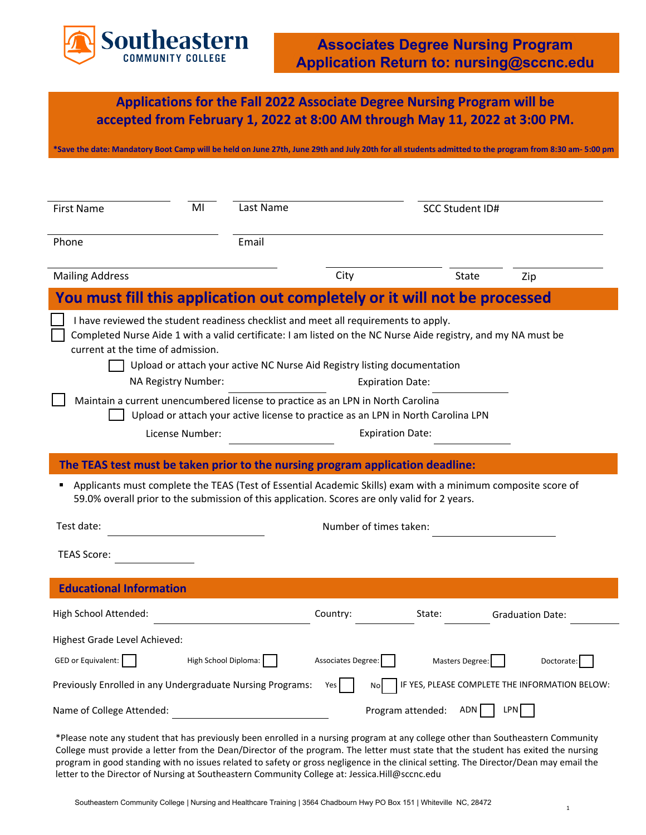

**Applications for the Fall 2022 Associate Degree Nursing Program will be accepted from February 1, 2022 at 8:00 AM through May 11, 2022 at 3:00 PM.**

**\*Save the date: Mandatory Boot Camp will be held on June 27th, June 29th and July 20th for all students admitted to the program from 8:30 am- 5:00 pm**

| <b>First Name</b>                                                                                                                                                                                                                                                | MI                   | Last Name                                                                        |                        |                         | <b>SCC Student ID#</b> |                                                |
|------------------------------------------------------------------------------------------------------------------------------------------------------------------------------------------------------------------------------------------------------------------|----------------------|----------------------------------------------------------------------------------|------------------------|-------------------------|------------------------|------------------------------------------------|
|                                                                                                                                                                                                                                                                  |                      |                                                                                  |                        |                         |                        |                                                |
| Phone                                                                                                                                                                                                                                                            |                      | Email                                                                            |                        |                         |                        |                                                |
|                                                                                                                                                                                                                                                                  |                      |                                                                                  |                        |                         |                        |                                                |
| <b>Mailing Address</b>                                                                                                                                                                                                                                           |                      |                                                                                  | City                   |                         | <b>State</b>           | Zip                                            |
| You must fill this application out completely or it will not be processed                                                                                                                                                                                        |                      |                                                                                  |                        |                         |                        |                                                |
| I have reviewed the student readiness checklist and meet all requirements to apply.<br>Completed Nurse Aide 1 with a valid certificate: I am listed on the NC Nurse Aide registry, and my NA must be<br>current at the time of admission.<br>NA Registry Number: |                      | Upload or attach your active NC Nurse Aid Registry listing documentation         |                        | <b>Expiration Date:</b> |                        |                                                |
| Maintain a current unencumbered license to practice as an LPN in North Carolina                                                                                                                                                                                  |                      | Upload or attach your active license to practice as an LPN in North Carolina LPN |                        |                         |                        |                                                |
| License Number:                                                                                                                                                                                                                                                  |                      |                                                                                  |                        | <b>Expiration Date:</b> |                        |                                                |
|                                                                                                                                                                                                                                                                  |                      |                                                                                  |                        |                         |                        |                                                |
| The TEAS test must be taken prior to the nursing program application deadline:                                                                                                                                                                                   |                      |                                                                                  |                        |                         |                        |                                                |
| Applicants must complete the TEAS (Test of Essential Academic Skills) exam with a minimum composite score of<br>59.0% overall prior to the submission of this application. Scores are only valid for 2 years.                                                    |                      |                                                                                  |                        |                         |                        |                                                |
| Test date:                                                                                                                                                                                                                                                       |                      |                                                                                  | Number of times taken: |                         |                        |                                                |
| <b>TEAS Score:</b>                                                                                                                                                                                                                                               |                      |                                                                                  |                        |                         |                        |                                                |
| <b>Educational Information</b>                                                                                                                                                                                                                                   |                      |                                                                                  |                        |                         |                        |                                                |
| High School Attended:                                                                                                                                                                                                                                            |                      |                                                                                  | Country:               | State:                  |                        | <b>Graduation Date:</b>                        |
| Highest Grade Level Achieved:                                                                                                                                                                                                                                    |                      |                                                                                  |                        |                         |                        |                                                |
| GED or Equivalent:                                                                                                                                                                                                                                               | High School Diploma: |                                                                                  | Associates Degree:     |                         | <b>Masters Degree:</b> | Doctorate:                                     |
| Previously Enrolled in any Undergraduate Nursing Programs:                                                                                                                                                                                                       |                      |                                                                                  | No<br>Yes              |                         |                        | IF YES, PLEASE COMPLETE THE INFORMATION BELOW: |
| Name of College Attended:                                                                                                                                                                                                                                        |                      |                                                                                  |                        | Program attended:       | ADN<br>LPN             |                                                |
| a ta cay dukabkat ke wasin di kaomangalika nyaéta ngangan sa payang taung langsa tahun kaomangan Canthang Campu                                                                                                                                                  |                      |                                                                                  |                        |                         |                        |                                                |

\*Please note any student that has previously been enrolled in a nursing program at any college other than Southeastern Community College must provide a letter from the Dean/Director of the program. The letter must state that the student has exited the nursing program in good standing with no issues related to safety or gross negligence in the clinical setting. The Director/Dean may email the letter to the Director of Nursing at Southeastern Community College at: Jessica.Hill@sccnc.edu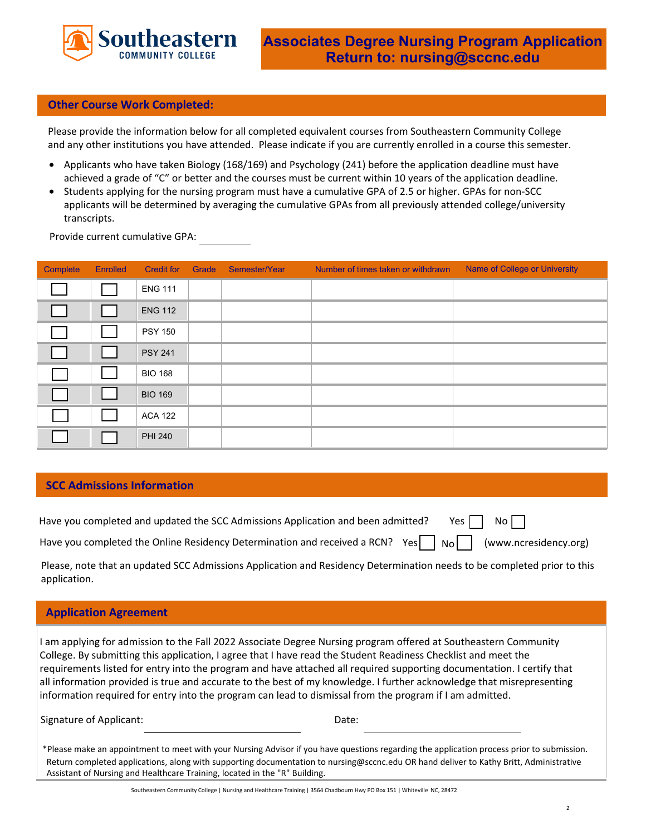

## **Other Course Work Completed:**

Please provide the information below for all completed equivalent courses from Southeastern Community College and any other institutions you have attended. Please indicate if you are currently enrolled in a course this semester.

- Applicants who have taken Biology (168/169) and Psychology (241) before the application deadline must have achieved a grade of "C" or better and the courses must be current within 10 years of the application deadline.
- Students applying for the nursing program must have a cumulative GPA of 2.5 or higher. GPAs for non-SCC applicants will be determined by averaging the cumulative GPAs from all previously attended college/university transcripts.

Provide current cumulative GPA:

| Complete | <b>Enrolled</b> | <b>Credit for Grade</b> | Semester/Year | Number of times taken or withdrawn | <b>Name of College or University</b> |
|----------|-----------------|-------------------------|---------------|------------------------------------|--------------------------------------|
|          |                 | <b>ENG 111</b>          |               |                                    |                                      |
|          |                 | <b>ENG 112</b>          |               |                                    |                                      |
|          |                 | <b>PSY 150</b>          |               |                                    |                                      |
|          |                 | <b>PSY 241</b>          |               |                                    |                                      |
|          |                 | <b>BIO 168</b>          |               |                                    |                                      |
|          |                 | <b>BIO 169</b>          |               |                                    |                                      |
|          |                 | <b>ACA 122</b>          |               |                                    |                                      |
|          |                 | <b>PHI 240</b>          |               |                                    |                                      |

## **SCC Admissions Information**

| Have you completed and updated the SCC Admissions Application and been admitted? Yes $\Box$ No $\Box$ |  |  |  |
|-------------------------------------------------------------------------------------------------------|--|--|--|
|-------------------------------------------------------------------------------------------------------|--|--|--|

Have you completed the Online Residency Determination and received a RCN? Yes No No Nuww.ncresidency.org)

Please, note that an updated SCC Admissions Application and Residency Determination needs to be completed prior to this application.

### **Application Agreement**

I am applying for admission to the Fall 2022 Associate Degree Nursing program offered at Southeastern Community College. By submitting this application, I agree that I have read the Student Readiness Checklist and meet the requirements listed for entry into the program and have attached all required supporting documentation. I certify that all information provided is true and accurate to the best of my knowledge. I further acknowledge that misrepresenting information required for entry into the program can lead to dismissal from the program if I am admitted.

Signature of Applicant: Date: Date:

\*Please make an appointment to meet with your Nursing Advisor if you have questions regarding the application process prior to submission. Return completed applications, along with supporting documentation to nursing@sccnc.edu OR hand deliver to Kathy Britt, Administrative Assistant of Nursing and Healthcare Training, located in the "R" Building.

Southeastern Community College | Nursing and Healthcare Training | 3564 Chadbourn Hwy PO Box 151 | Whiteville NC, 28472